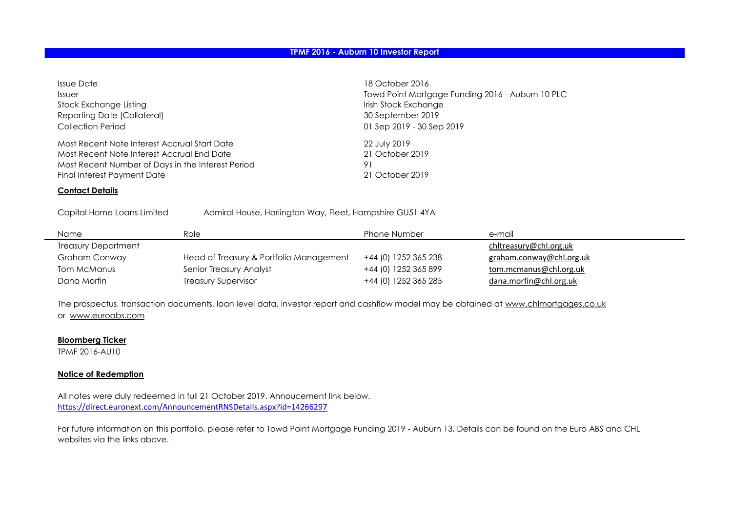| Issue Date                                        | 18 October 2016                                  |
|---------------------------------------------------|--------------------------------------------------|
| <i><b>Issuer</b></i>                              | Towd Point Mortgage Funding 2016 - Auburn 10 PLC |
| Stock Exchange Listing                            | Irish Stock Exchange                             |
| Reporting Date (Collateral)                       | 30 September 2019                                |
| <b>Collection Period</b>                          | 01 Sep 2019 - 30 Sep 2019                        |
| Most Recent Note Interest Accrual Start Date      | 22 July 2019                                     |
| Most Recent Note Interest Accrual End Date        | 21 October 2019                                  |
| Most Recent Number of Days in the Interest Period | 91                                               |
| Final Interest Payment Date                       | 21 October 2019                                  |

#### **Contact Details**

Capital Home Loans Limited Admiral House, Harlington Way, Fleet, Hampshire GU51 4YA

| Name                | Role                                    | <b>Phone Number</b>  | e-mail                   |
|---------------------|-----------------------------------------|----------------------|--------------------------|
| Treasury Department |                                         |                      | chltreasury@chl.org.uk   |
| Graham Conway       | Head of Treasury & Portfolio Management | +44 (0) 1252 365 238 | graham.conway@chl.org.uk |
| Tom McManus         | Senior Treasury Analyst                 | +44 (0) 1252 365 899 | tom.mcmanus@chl.org.uk   |
| Dana Morfin         | <b>Treasury Supervisor</b>              | +44 (0) 1252 365 285 | dana.morfin@chl.org.uk   |

The prospectus, transaction documents, loan level data, investor report and cashflow model may be obtained at www.chlmortgages.co.uk or www.euroabs.com

#### **Bloomberg Ticker**

TPMF 2016-AU10

#### **Notice of Redemption**

[https://direct.euronext.com/AnnouncementRNSDetails.aspx?id=14266297](https://urldefense.proofpoint.com/v2/url?u=https-3A__direct.euronext.com_AnnouncementRNSDetails.aspx-3Fid-3D14266297&d=DwMGaQ&c=qQy84HidZKks1AzH1tNzCKFxsPy43_OhvfM1avj4FME&r=9TRIByssBdndWeSM_CMsZwDXodGydoJgGkZjc4MxPUw&m=cTAFYVwH9li605uy-3eFrpdOQSAXrjksy7JFJviJD_8&s=GXGHk04-pBgW0ABikTXPQpnl7KI4Cn0lkwZC4McdEr8&e=) All notes were duly redeemed in full 21 October 2019. Annoucement link below.

For future information on this portfolio, please refer to Towd Point Mortgage Funding 2019 - Auburn 13. Details can be found on the Euro ABS and CHL websites via the links above.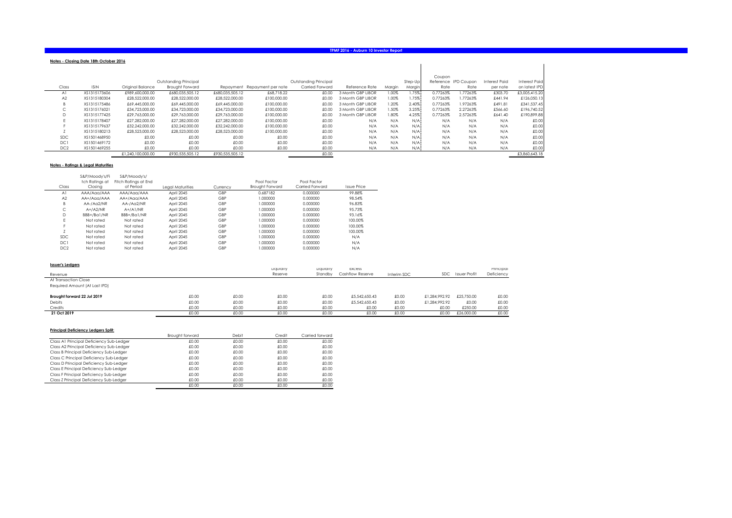|                 | Notes - Closina Date 18th October 2016 |                   |                       |                 |                              |                       |                   |        |         |          |                      |                      |                      |
|-----------------|----------------------------------------|-------------------|-----------------------|-----------------|------------------------------|-----------------------|-------------------|--------|---------|----------|----------------------|----------------------|----------------------|
|                 |                                        |                   |                       |                 |                              |                       |                   |        |         |          |                      |                      |                      |
|                 |                                        |                   |                       |                 |                              |                       |                   |        |         | Coupon   |                      |                      |                      |
|                 |                                        |                   | Outstanding Principal |                 |                              | Outstanding Principal |                   |        | Step-Up |          | Reference IPD Coupon | <b>Interest Paid</b> | <b>Interest Paid</b> |
| Class           | <b>ISIN</b>                            | Original Balance  | Brought Forward       |                 | Repayment Repayment per note | Carried Forward       | Reference Rate    | Margin | Margin  | Rate     | Rate                 | per note             | on latest IPD        |
| Al              | XS1315173606                           | £989.600.000.00   | £680.035.505.12       | £680.035.505.12 | £68,718,22                   | £0.00                 | 3 Month GBP LIBOR | 1.00%  | 1.75%   | 0.77263% | 1.77263%             | £303.70              | £3,005,415.20        |
| A2              | XS1315180304                           | £28,522,000.00    | £28,522,000.00        | £28,522,000.00  | £100,000,00                  | £0.00                 | 3 Month GBP LIBOR | 1.00%  | 1.75%   | 0.77263% | 1.77263%             | £441.94              | £126,050.13          |
|                 | XS1315175486                           | £69,445,000.00    | £69,445,000,00        | £69,445,000,00  | £100,000,00                  | £0.00                 | 3 Month GBP LIBOR | 1.20%  | 2.40%   | 0.77263% | 1.97263%             | £491.81              | £341,537.45          |
| ◡               | XS1315176021                           | £34,723,000,00    | £34,723,000.00        | £34,723,000,00  | £100,000,00                  | £0.00                 | 3 Month GBP LIBOR | 1.50%  | 3.25%   | 0.77263% | 2.27263%             | £566.60              | £196,740.52          |
| D               | XS1315177425                           | £29.763.000.00    | £29,763,000,00        | £29,763,000,00  | £100,000,00                  | £0.00                 | 3 Month GBP LIBOR | 1.80%  | 4.25%   | 0.77263% | 2.57263%             | £641.40              | £190,899.88          |
|                 | XS1315178407                           | £27.282.000.00    | £27,282,000.00        | £27,282,000,00  | £100,000,00                  | £0.00                 | N/A               | N/A    | N/A     | N/A      | N/A                  | N/A                  | £0.00                |
|                 | XS1315179637                           | £32.242.000.00    | £32.242.000.00        | £32.242.000.00  | £100,000,00                  | £0.00                 | N/A               | N/A    | N/A     | N/A      | N/A                  | N/A                  | £0.00                |
|                 | XS1315180213                           | £28,523,000.00    | £28,523,000.00        | £28,523,000.00  | £100,000,00                  | £0.00                 | N/A               | N/A    | N/A     | N/A      | N/A                  | N/A                  | £0.00                |
| <b>SDC</b>      | XS1501468950                           | £0.00             | £0.00                 | £0.00           | £0.00                        | £0.00                 | N/A               | N/A    | N/A     | N/A      | N/A                  | N/A                  | £0.00                |
| DC1             | XS1501469172                           | £0.00             | £0.00                 | £0.00           | £0.00                        | £0.00                 | N/A               | N/A    | N/A     | N/A      | N/A                  | N/A                  | £0.00                |
| DC <sub>2</sub> | XS1501469255                           | £0.00             | £0.00                 | £0.00           | £0.00                        | £0.00                 | N/A               | N/A    | N/A     | N/A      | N/A                  | N/A                  | £0.00                |
|                 |                                        | £1,240,100,000,00 | £930.535.505.12       | £930.535.505.12 |                              | £0.00                 |                   |        |         |          |                      |                      | £3,860,643,18        |

#### **Notes - Ratings & Legal Maturities**

|                 | S&P/Moodv's/H  | S&P/Moody's/         |                  |          |                        |                 |                    |  |
|-----------------|----------------|----------------------|------------------|----------|------------------------|-----------------|--------------------|--|
|                 | tch Ratinas at | Fitch Ratinas at End |                  |          | Pool Factor            | Pool Factor     |                    |  |
| Class           | Closina        | of Period            | Legal Maturities | Currency | <b>Brought Forward</b> | Carried Forward | <b>Issue Price</b> |  |
| Al              | AAA/Agg/AAA    | AAA/Agg/AAA          | April 2045       | GBP      | 0.687182               | 0.000000        | 99.88%             |  |
| A <sub>2</sub>  | AA+/Agg/AAA    | AA+/Agg/AAA          | April 2045       | GBP      | 000000.1               | 0.000000        | 98.54%             |  |
| B               | AA-/Aa2/NR     | AA-/Aa2/NR           | April 2045       | GBP      | 1.000000               | 0.000000        | 96.83%             |  |
| C               | $A+}/A2/NR$    | $A+}/A1/NR$          | April 2045       | GBP      | 1.000000               | 0.000000        | 95.73%             |  |
| D               | BBB+/Bal/NR    | BBB+/Bal/NR          | April 2045       | GBP      | 1.000000               | 0.000000        | 93.16%             |  |
| E               | Not rated      | Not rated            | April 2045       | GBP      | 000000.1               | 0.000000        | 100.00%            |  |
| н.              | Not rated      | Not rated            | April 2045       | GBP      | 1.000000               | 0.000000        | 100.00%            |  |
|                 | Not rated      | Not rated            | April 2045       | GBP      | 1.000000               | 0.000000        | 100.00%            |  |
| <b>SDC</b>      | Not rated      | Not rated            | April 2045       | GBP      | 1.000000               | 0.000000        | N/A                |  |
| DC1             | Not rated      | Not rated            | April 2045       | GBP      | 000000.1               | 0.000000        | N/A                |  |
| DC <sub>2</sub> | Not rated      | Not rated            | April 2045       | GBP      | 1.000000               | 0.000000        | N/A                |  |
|                 |                |                      |                  |          |                        |                 |                    |  |

| <b>Issuer's Ledgers</b>       |       |       | Liquidity | Liquidity | Excess           |             |               |                      | Principal  |
|-------------------------------|-------|-------|-----------|-----------|------------------|-------------|---------------|----------------------|------------|
| Revenue                       |       |       | Reserve   | Standby   | Cashflow Reserve | Interim SDC | <b>SDC</b>    | <b>Issuer Profit</b> | Deficiency |
| At Transaction Close          |       |       |           |           |                  |             |               |                      |            |
| Required Amount (At Last IPD) |       |       |           |           |                  |             |               |                      |            |
| Brought forward 22 Jul 2019   | £0.00 | £0.00 | £0.00     | £0.00     | £5,542,650.43    | £0.00       | £1,284,992.92 | £25,750,00           | £0.00      |
| <b>Debits</b>                 | £0.00 | £0.00 | £0.00     | £0.00     | £5,542,650.43    | £0.00       | £1,284,992,92 | £0.00                | £0.00      |
| Credits                       | £0.00 | £0.00 | £0.00     | £0.00     | £0.00            | £0.00       | £0.00         | £250.00              | £0.00      |
| 21 Oct 2019                   | £0.00 | £0.00 | £0.00     | £0.00     | £0.00            | £0.00       | £0.00         | £26,000.00           | £0.00      |

#### **Principal Deficiency Ledgers Split:**

|                                          | Brought forward | Debit | Credit | Carried forward |
|------------------------------------------|-----------------|-------|--------|-----------------|
| Class A1 Principal Deficiency Sub-Ledaer | £0.00           | £0.00 | £0.00  | £0.00           |
| Class A2 Principal Deficiency Sub-Ledaer | £0.00           | £0.00 | £0.00  | £0.00           |
| Class B Principal Deficiency Sub-Ledger  | £0.00           | £0.00 | £0.00  | £0.00           |
| Class C Principal Deficiency Sub-Ledger  | £0.00           | £0.00 | £0.00  | £0.00           |
| Class D Principal Deficiency Sub-Ledger  | £0.00           | £0.00 | £0.00  | £0.00           |
| Class E Principal Deficiency Sub-Ledaer  | £0.00           | £0.00 | £0.00  | £0.00           |
| Class F Principal Deficiency Sub-Ledger  | £0.00           | £0.00 | £0.00  | £0.00           |
| Class Z Principal Deficiency Sub-Ledger  | £0.00           | £0.00 | £0.00  | £0.00           |
|                                          | £0.00           | £0.00 | £0.00  | £0.00           |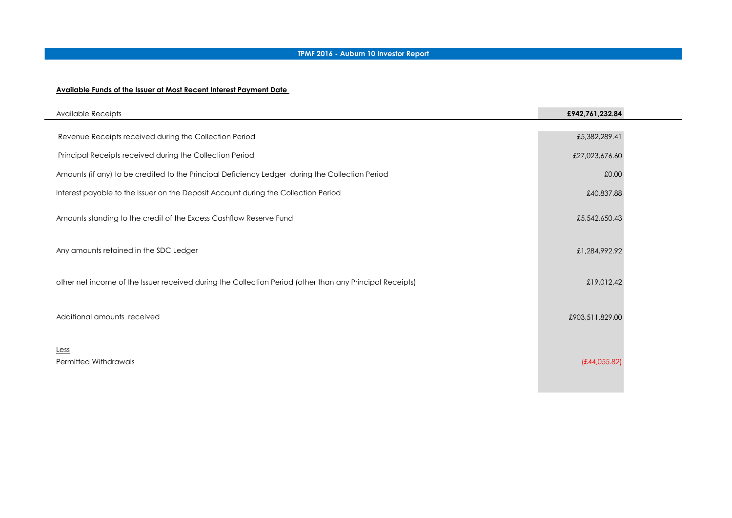#### **Available Funds of the Issuer at Most Recent Interest Payment Date**

| Available Receipts                                                                                       | £942,761,232.84 |  |
|----------------------------------------------------------------------------------------------------------|-----------------|--|
| Revenue Receipts received during the Collection Period                                                   | £5,382,289.41   |  |
| Principal Receipts received during the Collection Period                                                 | £27,023,676.60  |  |
| Amounts (if any) to be credited to the Principal Deficiency Ledger during the Collection Period          | £0.00           |  |
| Interest payable to the Issuer on the Deposit Account during the Collection Period                       | £40,837.88      |  |
| Amounts standing to the credit of the Excess Cashflow Reserve Fund                                       | £5,542,650.43   |  |
| Any amounts retained in the SDC Ledger                                                                   | £1,284,992.92   |  |
| other net income of the Issuer received during the Collection Period (other than any Principal Receipts) | £19,012.42      |  |
| Additional amounts received                                                                              | £903,511,829.00 |  |
| Less<br><b>Permitted Withdrawals</b>                                                                     | (E44, 055.82)   |  |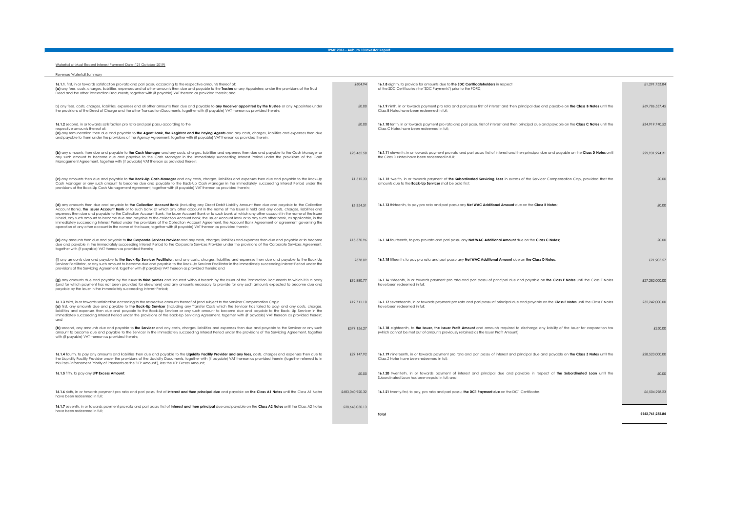#### Waterfall at Most Recent Interest Payment Date ( 21 October 2019)

| Revenue Waterfall Summary                                                                                                                                                                                                                                                                                                                                                                                                                                                                                                                                                                                                                                                                                                                                                                                                                                                                                                              |                 |                                                                                                                                                                                                                                        |                 |
|----------------------------------------------------------------------------------------------------------------------------------------------------------------------------------------------------------------------------------------------------------------------------------------------------------------------------------------------------------------------------------------------------------------------------------------------------------------------------------------------------------------------------------------------------------------------------------------------------------------------------------------------------------------------------------------------------------------------------------------------------------------------------------------------------------------------------------------------------------------------------------------------------------------------------------------|-----------------|----------------------------------------------------------------------------------------------------------------------------------------------------------------------------------------------------------------------------------------|-----------------|
| 16.1.1. first, in or towards satisfaction pro rata and pari passu according to the respective amounts thereof of:<br>(a) any fees, costs, charges, liabilities, expenses and all other amounts then due and payable to the Trustee or any Appointee, under the provisions of the Trust<br>Deed and the other Transaction Documents, together with (if payable) VAT thereon as provided therein; and                                                                                                                                                                                                                                                                                                                                                                                                                                                                                                                                    | £604.94         | 16.1.8 eighth, to provide for amounts due to the SDC Certificateholders in respect<br>of the SDC Certificates (the "SDC Payments") prior to the FORD;                                                                                  | £1,291,753,84   |
| b) any fees, costs, charges, liabilities, expenses and all other amounts then due and payable to any Receiver appointed by the Trustee or any Appointee under<br>the provisions of the Deed of Charge and the other Transaction Documents, together with (if payable) VAT thereon as provided therein;                                                                                                                                                                                                                                                                                                                                                                                                                                                                                                                                                                                                                                 | £0.00           | 16.1.9 ninth, in or towards payment pro rata and pari passu first of interest and then principal due and payable on the Class B Notes until the<br>Class B Notes have been redeemed in full:                                           | £69,786,537.45  |
| 16.1.2 second, in or towards satisfaction pro rata and pari passu according to the<br>respective amounts thereof of:<br>(a) any remuneration then due and payable to the Agent Bank, the Registrar and the Paying Agents and any costs, charges, liabilities and expenses then due<br>and payable to them under the provisions of the Agency Agreement, together with (if payable) VAT thereon as provided therein;                                                                                                                                                                                                                                                                                                                                                                                                                                                                                                                    | £0.00           | 16.1.10 tenth, in or towards payment pro rata and pari passu first of interest and then principal due and payable on the Class C Notes until the<br>Class C Notes have been redeemed in full;                                          | £34.919.740.52  |
| (b) any amounts then due and payable to the Cash Manager and any costs, charges, liabilities and expenses then due and payable to the Cash Manager or<br>any such amount to become due and payable to the Cash Manager in the immediately succeeding Interest Period under the provisions of the Cash<br>Management Agreement, together with (if payable) VAT thereon as provided therein;                                                                                                                                                                                                                                                                                                                                                                                                                                                                                                                                             | £23,465.58      | 16.1.11 eleventh, in or towards payment pro rata and pari passu first of interest and then principal due and payable on the Class D Notes until<br>the Class D Notes have been redeemed in full:                                       | £29.931.994.31  |
| (c) any amounts then due and payable to the Back-Up Cash Manager and any costs, charges, liabilities and expenses then due and payable to the Back-Up<br>Cash Manager or any such amount to become due and payable to the Back-Up Cash Manager in the immediately succeeding Interest Period under the<br>provisions of the Back-Up Cash Management Agreement, together with (if payable) VAT thereon as provided therein;                                                                                                                                                                                                                                                                                                                                                                                                                                                                                                             | £1.512.33       | 16.1.12 twelfth, in or towards payment of the Subordinated Servicing Fees in excess of the Servicer Compensation Cap, provided that the<br>amounts due to the Back-Up Servicer shall be paid first;                                    | £0.00           |
| (d) any amounts then due and payable to the Collection Account Bank (including any Direct Debit Liability Amount then due and payable to the Collection<br>Account Bank), the Issuer Account Bank or to such bank at which any other account in the name of the Issuer is held and any costs, charges, liabilities and<br>expenses then due and payable to the Collection Account Bank, the Issuer Account Bank or to such bank at which any other account in the name of the Issuer<br>is held, any such amount to become due and payable to the collection Account Bank, the Issuer Account Bank or to any such other bank, as applicable, in the<br>immediately succeeding Interest Period under the provisions of the Collection Account Agreement, the Account Bank Agreement or agreement governing the<br>operation of any other account in the name of the Issuer, together with (if payable) VAT thereon as provided therein; | £6.354.51       | 16.1.13 thirteenth, to pay pro rata and pari passu any Net WAC Additional Amount due on the Class B Notes;                                                                                                                             | £0.00           |
| (e) any amounts then due and payable to the Corporate Services Provider and any costs, charges, liabilities and expenses then due and payable or to become<br>due and payable in the immediately succeeding Interest Period to the Corporate Services Provider under the provisions of the Corporate Services Agreement,<br>together with (if payable) VAT thereon as provided therein;                                                                                                                                                                                                                                                                                                                                                                                                                                                                                                                                                | £15,570.96      | 16.1.14 fourteenth, to pay pro rata and pari passu any Net WAC Additional Amount due on the Class C Notes;                                                                                                                             | £0.00           |
| (f) any amounts due and payable to the Back-Up Servicer Facilitator, and any costs, charges, liabilities and expenses then due and payable to the Back-Up<br>Servicer Facilitator, or any such amount to become due and payable to the Back-Up Servicer Facilitator in the immediately succeeding Interest Period under the<br>provisions of the Servicing Agreement, together with (if payable) VAT thereon as provided therein; and                                                                                                                                                                                                                                                                                                                                                                                                                                                                                                  | £378.09         | 16.1.15 fifteenth, to pay pro rata and pari passu any Net WAC Additional Amount due on the Class D Notes;                                                                                                                              | £21,905.57      |
| (g) any amounts due and payable by the Issuer to third parties and incurred without breach by the Issuer of the Transaction Documents to which it is a party<br>(and for which payment has not been provided for elsewhere) and any amounts necessary to provide for any such amounts expected to become due and<br>payable by the Issuer in the immediately succeeding Interest Period;                                                                                                                                                                                                                                                                                                                                                                                                                                                                                                                                               | £92.880.77      | 16.1.16 sixteenth, in or towards payment pro rata and pari passu of principal due and payable on the Class E Notes until the Class E Notes<br>have been redeemed in full;                                                              | £27,282,000,00  |
| 16.1.3 third, in or towards satisfaction according to the respective amounts thereof of (and subject to the Servicer Compensation Cap):<br>(a) first, any amounts due and payable to the Back-Up Servicer (including any Transfer Costs which the Servicer has failed to pay) and any costs, charges,<br>liabilities and expenses then due and payable to the Back-Up Servicer or any such amount to become due and payable to the Back- Up Servicer in the<br>immediately succeeding Interest Period under the provisions of the Back-Up Servicing Agreement, together with [if payable] VAT thereon as provided therein;<br>and                                                                                                                                                                                                                                                                                                      | £19,711.10      | 16.1.17 seventeenth, in or towards payment pro rata and pari passu of principal due and payable on the Class F Notes until the Class F Notes<br>have been redeemed in full:                                                            | £32,242,000.00  |
| (b) second, any amounts due and payable to the Servicer and any costs, charges, liabilities and expenses then due and payable to the Servicer or any such<br>amount to become due and payable to the Servicer in the immediately succeeding Interest Period under the provisions of the Servicing Agreement, together<br>with (if payable) VAT thereon as provided therein;                                                                                                                                                                                                                                                                                                                                                                                                                                                                                                                                                            | £379,156.27     | 16.1.18 eighteenth, to the Issuer, the Issuer Profit Amount and amounts required to discharge any liability of the Issuer for corporation tax<br>(which cannot be met out of amounts previously retained as the Issuer Profit Amount); | £250.00         |
| 16.1.4 fourth, to pay any amounts and liabilities then due and payable to the Liquidity Facility Provider and any fees, costs, charges and expenses then due to<br>the Liquidity Facility Provider under the provisions of the Liquidity Documents, together with (if payable) VAT thereon as provided therein (together referred to in<br>this Post-Enforcement Priority of Payments as the "LFP Amount"), less the LFP Excess Amount;                                                                                                                                                                                                                                                                                                                                                                                                                                                                                                | £29,147.92      | 16.1.19 nineteenth, in or towards payment pro rata and pari passu of interest and principal due and payable on the Class Z Notes until the<br>Class Z Notes have been redeemed in full;                                                | £28,523,000.00  |
| 16.1.5 fifth, to pay any LFP Excess Amount;                                                                                                                                                                                                                                                                                                                                                                                                                                                                                                                                                                                                                                                                                                                                                                                                                                                                                            | £0.00           | 16.1.20 twentieth, in or towards payment of interest and principal due and payable in respect of the Subordinated Loan until the<br>Subordinated Loan has been repaid in full: and                                                     | £0.00           |
| 16.1.6 sixth, in or towards payment pro rata and pari passu first of interest and then principal due and payable on the Class A1 Notes until the Class A1 Notes.<br>have been redeemed in full:                                                                                                                                                                                                                                                                                                                                                                                                                                                                                                                                                                                                                                                                                                                                        | £683,040,920.32 | 16.1.21 twenty-first, to pay, pro rata and pari passu, the DC1 Payment due on the DC1 Certificates.                                                                                                                                    | £6,504,298.23   |
| 16.1.7 seventh, in or towards payment pro rata and pari passu first of interest and then principal due and payable on the Class A2 Notes until the Class A2 Notes<br>have been redeemed in full:                                                                                                                                                                                                                                                                                                                                                                                                                                                                                                                                                                                                                                                                                                                                       | £28,648,050,13  | Total                                                                                                                                                                                                                                  | £942,761,232.84 |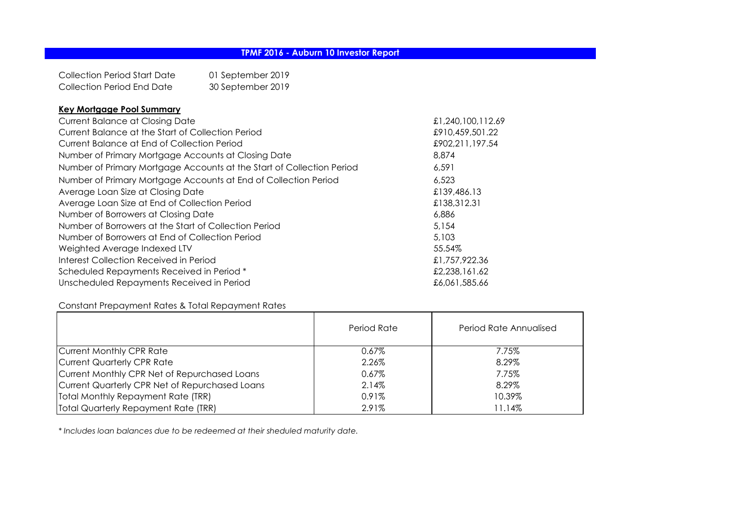Collection Period Start Date 01 September 2019 Collection Period End Date 30 September 2019

# **Key Mortgage Pool Summary**

| Current Balance at Closing Date                                       | £1,240,100,112.69 |
|-----------------------------------------------------------------------|-------------------|
| Current Balance at the Start of Collection Period                     | £910,459,501.22   |
| Current Balance at End of Collection Period                           | £902,211,197.54   |
| Number of Primary Mortgage Accounts at Closing Date                   | 8,874             |
| Number of Primary Mortgage Accounts at the Start of Collection Period | 6,591             |
| Number of Primary Mortgage Accounts at End of Collection Period       | 6.523             |
| Average Loan Size at Closing Date                                     | £139,486.13       |
| Average Loan Size at End of Collection Period                         | £138,312.31       |
| Number of Borrowers at Closing Date                                   | 6,886             |
| Number of Borrowers at the Start of Collection Period                 | 5.154             |
| Number of Borrowers at End of Collection Period                       | 5,103             |
| Weighted Average Indexed LTV                                          | 55.54%            |
| Interest Collection Received in Period                                | £1,757,922.36     |
| Scheduled Repayments Received in Period *                             | £2,238,161.62     |
| Unscheduled Repayments Received in Period                             | £6,061,585.66     |

# Constant Prepayment Rates & Total Repayment Rates

|                                                | Period Rate | Period Rate Annualised |
|------------------------------------------------|-------------|------------------------|
| Current Monthly CPR Rate                       | $0.67\%$    | 7.75%                  |
| Current Quarterly CPR Rate                     | 2.26%       | 8.29%                  |
| Current Monthly CPR Net of Repurchased Loans   | $0.67\%$    | 7.75%                  |
| Current Quarterly CPR Net of Repurchased Loans | 2.14%       | 8.29%                  |
| Total Monthly Repayment Rate (TRR)             | $0.91\%$    | 10.39%                 |
| Total Quarterly Repayment Rate (TRR)           | 2.91%       | 11.14%                 |

*\* Includes loan balances due to be redeemed at their sheduled maturity date.*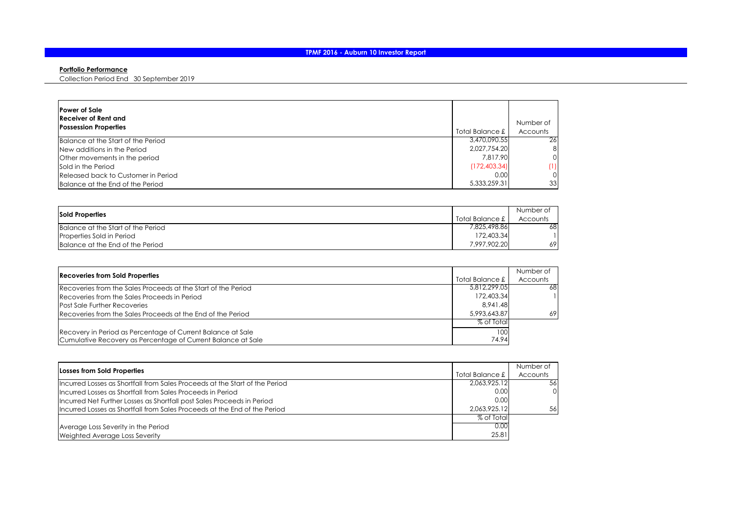#### **Portfolio Performance**

Collection Period End 30 September 2019

| <b>Power of Sale</b><br>Receiver of Rent and<br><b>Possession Properties</b> | Total Balance £ | Number of<br>Accounts |
|------------------------------------------------------------------------------|-----------------|-----------------------|
| Balance at the Start of the Period                                           | 3.470.090.55    | 26                    |
| New additions in the Period                                                  | 2.027.754.20    | 8                     |
| Other movements in the period                                                | 7.817.90        | 0                     |
| Sold in the Period                                                           | (172, 403.34)   | (1)                   |
| Released back to Customer in Period                                          | 0.00            | 0                     |
| Balance at the End of the Period                                             | 5,333,259.31    | 33                    |

| <b>Sold Properties</b>             |                   | Number of |
|------------------------------------|-------------------|-----------|
|                                    | Total Balance £ 1 | Accounts  |
| Balance at the Start of the Period | 7.825.498.861     | 68.       |
| Properties Sold in Period          | 172,403.34        |           |
| Balance at the End of the Period   | 7,997,902.20      | 69.       |

|                                                               |              | Number of |
|---------------------------------------------------------------|--------------|-----------|
| <b>Recoveries from Sold Properties</b><br>Total Balance £     |              | Accounts  |
| Recoveries from the Sales Proceeds at the Start of the Period | 5.812.299.05 | 68        |
| Recoveries from the Sales Proceeds in Period                  | 172,403.34   |           |
| <b>Post Sale Further Recoveries</b>                           | 8.941.48     |           |
| Recoveries from the Sales Proceeds at the End of the Period   | 5,993,643,87 | 69        |
|                                                               | % of Total   |           |
| Recovery in Period as Percentage of Current Balance at Sale   | 100          |           |
| Cumulative Recovery as Percentage of Current Balance at Sale  | 74.94        |           |

|                                                                             |                 | Number of |
|-----------------------------------------------------------------------------|-----------------|-----------|
| Losses from Sold Properties                                                 | Total Balance £ | Accounts  |
| Incurred Losses as Shortfall from Sales Proceeds at the Start of the Period | 2,063,925.12    | -56       |
| Incurred Losses as Shortfall from Sales Proceeds in Period                  | 0.00            | $\Omega$  |
| Incurred Net Further Losses as Shortfall post Sales Proceeds in Period      | 0.00            |           |
| Incurred Losses as Shortfall from Sales Proceeds at the End of the Period   | 2.063.925.12    | 56        |
|                                                                             | % of Total      |           |
| Average Loss Severity in the Period                                         | 0.00            |           |
| Weighted Average Loss Severity                                              | 25.81           |           |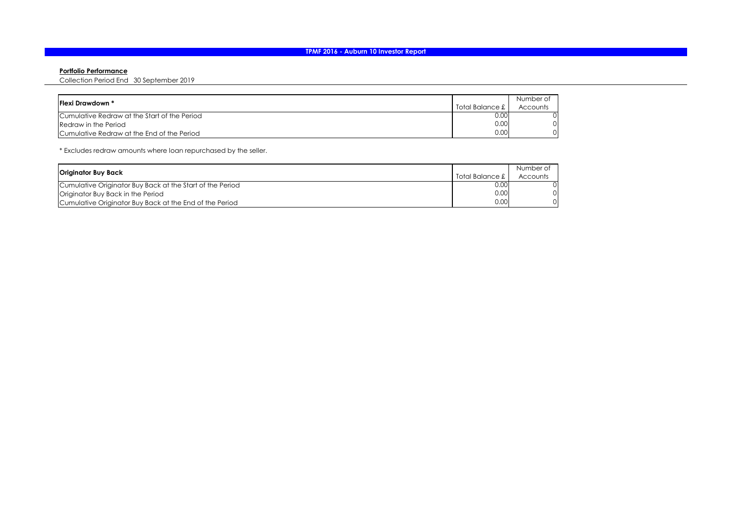#### **Portfolio Performance**

Collection Period End 30 September 2019

| <b>IFlexi Drawdown *</b>                     |                 | Number of |
|----------------------------------------------|-----------------|-----------|
|                                              | Total Balance £ | Accounts  |
| Cumulative Redraw at the Start of the Period | 0.00            |           |
| Redraw in the Period                         | 0.00            | ΟI        |
| Cumulative Redraw at the End of the Period   | 0.00            | ΩI        |

\* Excludes redraw amounts where loan repurchased by the seller.

|                                                           |                 | Number of |
|-----------------------------------------------------------|-----------------|-----------|
| Originator Buy Back                                       | Total Balance £ | Accounts  |
| Cumulative Originator Buy Back at the Start of the Period | 0.00            |           |
| Originator Buy Back in the Period                         | 0.00            |           |
| Cumulative Originator Buy Back at the End of the Period   | 0.00            |           |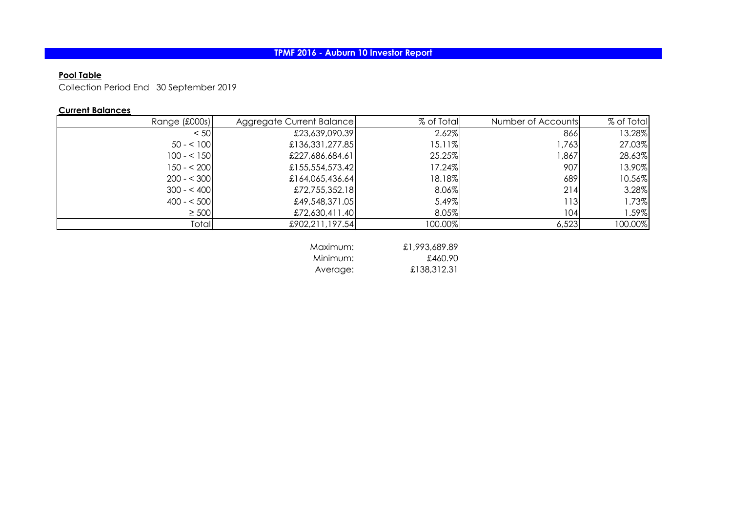# **Pool Table**

Collection Period End 30 September 2019

## **Current Balances**

| Range (£000s) | Aggregate Current Balance | % of Total | Number of Accounts | % of Total |
|---------------|---------------------------|------------|--------------------|------------|
| < 50          | £23,639,090.39            | 2.62%      | 866                | 13.28%     |
| $50 - 100$    | £136,331,277.85           | 15.11%     | 1,763              | 27.03%     |
| $100 - 150$   | £227,686,684.61           | 25.25%     | 1,867              | 28.63%     |
| $150 - 200$   | £155,554,573.42           | 17.24%     | 907                | 13.90%     |
| $200 - 5300$  | £164,065,436.64           | 18.18%     | 6891               | 10.56%     |
| $300 - 400$   | £72,755,352.18            | 8.06%      | 214                | 3.28%      |
| $400 - 500$   | £49,548,371.05            | 5.49%      | 113                | 1.73%      |
| $\geq$ 500    | £72,630,411.40            | 8.05%      | 104                | 1.59%      |
| Total         | £902,211,197.54           | 100.00%    | 6,523              | 100.00%    |
|               |                           |            |                    |            |

| Maximum: | £1,993,689.89 |
|----------|---------------|
| Minimum: | £460.90       |
| Average: | £138,312.31   |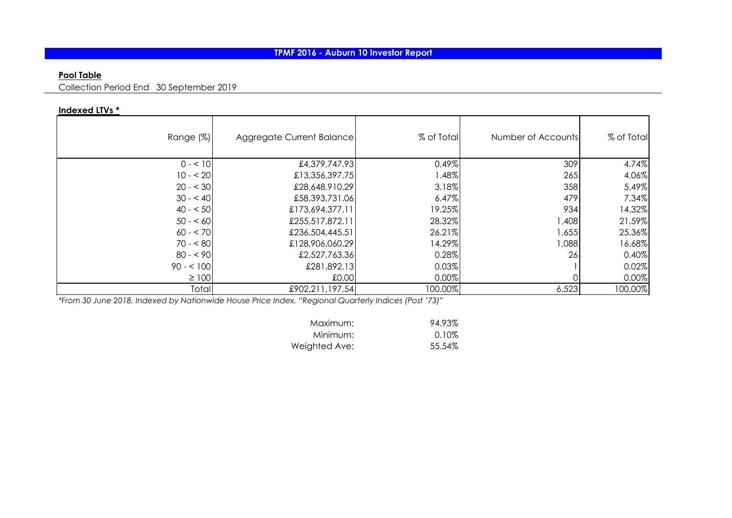# **Pool Table**

Collection Period End 30 September 2019

## **Indexed LTVs \***

| Range (%)  | Aggregate Current Balance | % of Total | Number of Accounts | % of Total |
|------------|---------------------------|------------|--------------------|------------|
| $0 - 10$   | £4,379,747.93             | 0.49%      | 309                | 4.74%      |
| $10 - 20$  | £13,356,397.75            | 1.48%      | 265                | 4.06%      |
| $20 - 30$  | £28,648,910.29            | 3.18%      | 358                | 5.49%      |
| $30 - 40$  | £58,393,731.06            | 6.47%      | 479                | 7.34%      |
| $40 - 50$  | £173,694,377.11           | 19.25%     | 934                | 14.32%     |
| $50 - 60$  | £255,517,872.11           | 28.32%     | 1,408              | 21.59%     |
| $60 - 570$ | £236,504,445.51           | 26.21%     | 1,655              | 25.36%     |
| $70 - 80$  | £128,906,060.29           | 14.29%     | 1,088              | 16.68%     |
| $80 - 90$  | £2,527,763.36             | 0.28%      | 26                 | 0.40%      |
| $90 - 100$ | £281,892.13               | 0.03%      |                    | 0.02%      |
| $\geq 100$ | £0.00                     | 0.00%      |                    | 0.00%      |
| Total      | £902,211,197.54           | 100.00%    | 6,523              | 100.00%    |

*\*From 30 June 2018, Indexed by Nationwide House Price Index, "Regional Quarterly Indices (Post '73)"*

| Maximum:      | 94.93% |
|---------------|--------|
| Minimum:      | 0.10%  |
| Weighted Ave: | 55.54% |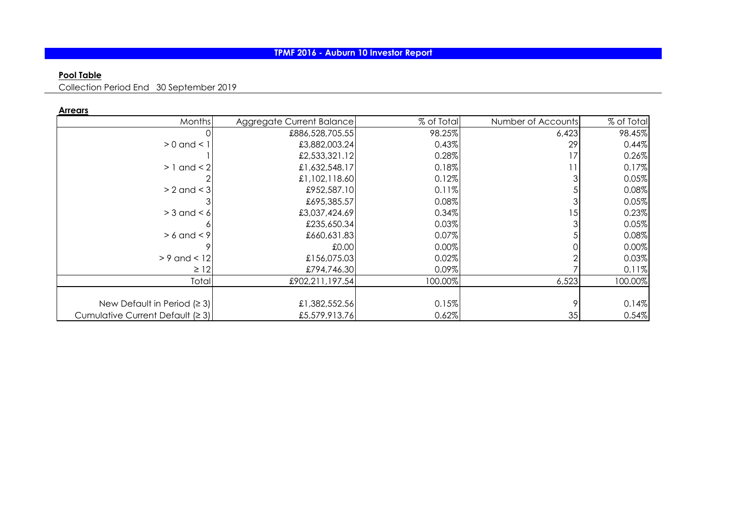# **Pool Table**

Collection Period End 30 September 2019

| . <del>.</del> .                 |                           |            |                    |            |
|----------------------------------|---------------------------|------------|--------------------|------------|
| Months                           | Aggregate Current Balance | % of Total | Number of Accounts | % of Total |
|                                  | £886,528,705.55           | 98.25%     | 6,423              | 98.45%     |
| $> 0$ and $< 1$                  | £3,882,003.24             | 0.43%      | 29                 | 0.44%      |
|                                  | £2,533,321.12             | 0.28%      |                    | 0.26%      |
| $>1$ and $<$ 2                   | £1,632,548.17             | 0.18%      |                    | 0.17%      |
|                                  | £1,102,118.60             | 0.12%      |                    | 0.05%      |
| $> 2$ and $<$ 3                  | £952,587.10               | 0.11%      |                    | 0.08%      |
|                                  | £695,385.57               | 0.08%      |                    | 0.05%      |
| $>$ 3 and $<$ 6                  | £3,037,424.69             | 0.34%      | 15                 | 0.23%      |
|                                  | £235,650.34               | 0.03%      |                    | 0.05%      |
| $> 6$ and $< 9$                  | £660,631.83               | 0.07%      |                    | 0.08%      |
|                                  | £0.00                     | 0.00%      |                    | 0.00%      |
| $> 9$ and < 12                   | £156,075.03               | 0.02%      |                    | 0.03%      |
| $\geq$ 12                        | £794,746.30               | 0.09%      |                    | 0.11%      |
| Total                            | £902,211,197.54           | 100.00%    | 6,523              | 100.00%    |
|                                  |                           |            |                    |            |
| New Default in Period $(23)$     | £1,382,552.56             | 0.15%      |                    | 0.14%      |
| Cumulative Current Default (≥ 3) | £5,579,913.76             | 0.62%      | 35                 | 0.54%      |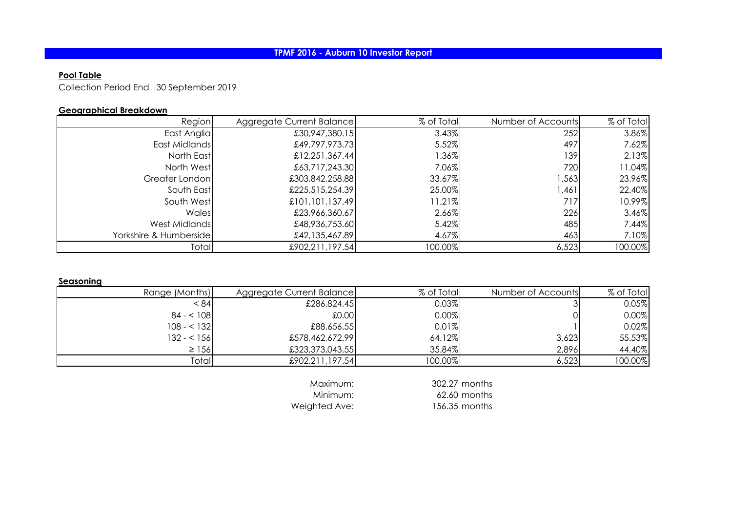# **Pool Table**

Collection Period End 30 September 2019

### **Geographical Breakdown**

| Region                 | Aggregate Current Balance | % of Total | Number of Accounts | % of Total |
|------------------------|---------------------------|------------|--------------------|------------|
| East Anglia            | £30,947,380.15            | 3.43%      | 252                | 3.86%      |
| East Midlands          | £49,797,973.73            | 5.52%      | 497                | 7.62%      |
| North East             | £12,251,367.44            | 1.36%      | 139                | 2.13%      |
| North West             | £63,717,243.30            | 7.06%      | 720                | 11.04%     |
| Greater London         | £303,842,258.88           | 33.67%     | ,563               | 23.96%     |
| South East             | £225,515,254.39           | 25.00%     | .461               | 22.40%     |
| South West             | £101,101,137.49           | 11.21%     | 717                | 10.99%     |
| Wales                  | £23,966,360.67            | 2.66%      | 226                | 3.46%      |
| West Midlands          | £48,936,753.60            | 5.42%      | 485                | 7.44%      |
| Yorkshire & Humberside | £42,135,467.89            | 4.67%      | 463                | 7.10%      |
| Total                  | £902,211,197.54           | 100.00%    | 6,523              | 100.00%    |

**Seasoning**

| Range (Months) | Aggregate Current Balance | % of Total | Number of Accounts | % of Total |
|----------------|---------------------------|------------|--------------------|------------|
| < 84           | £286,824.45               | 0.03%      |                    | 0.05%      |
| $84 - 108$     | 0.001                     | 0.00%      |                    | 0.00%      |
| $108 - 132$    | £88,656.55                | 0.01%      |                    | 0.02%      |
| $132 - 156$    | £578,462,672.99           | 64.12%     | 3,623              | 55.53%     |
| $\geq$ 156     | £323,373,043.55           | 35.84%     | 2,896              | 44.40%     |
| Total          | £902,211,197.54           | $100.00\%$ | 6,523              | 100.00%    |

Weighted Ave: 156.35 months

Maximum: 302.27 months<br>Minimum: 62.60 months 62.60 months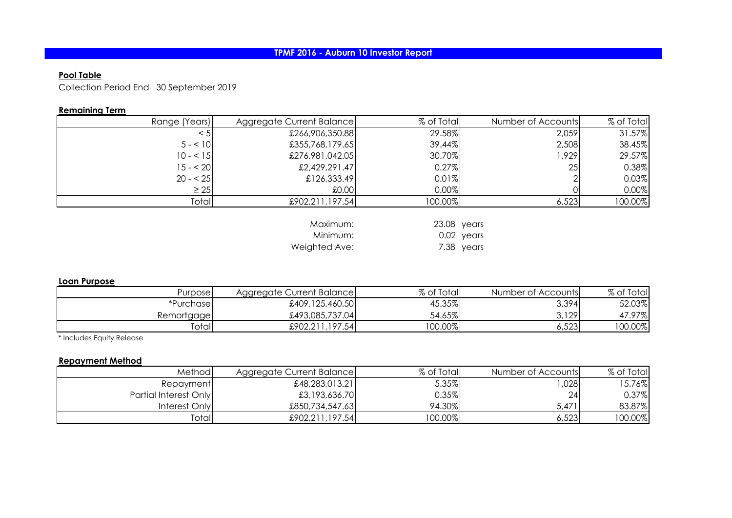# **Pool Table**

Collection Period End 30 September 2019

# **Remaining Term**

| Range (Years) | Aggregate Current Balance | % of Total  | Number of Accounts | % of Total |
|---------------|---------------------------|-------------|--------------------|------------|
| $\leq 5$      | £266,906,350.88           | 29.58%      | 2,059              | 31.57%     |
| $5 - 10$      | £355,768,179.65           | 39.44%      | 2,508              | 38.45%     |
| $10 - 15$     | £276,981,042.05           | 30.70%      | 1,929              | 29.57%     |
| $15 - 20$     | £2,429,291.47             | 0.27%       | 25                 | 0.38%      |
| $20 - 25$     | £126,333.49               | 0.01%       |                    | 0.03%      |
| $\geq$ 25     | £0.00                     | 0.00%       |                    | 0.00%      |
| Total         | £902,211,197.54           | 100.00%     | 6,523              | 100.00%    |
|               |                           |             |                    |            |
|               | Maximum:                  | 23.08 years |                    |            |
|               | Minimum:                  |             | 0.02 years         |            |
|               | Weighted Ave:             |             | 7.38 years         |            |

### **Loan Purpose**

| Purposel   | Aggregate Current Balance) | % of Total | Number of Accounts | % of Total |
|------------|----------------------------|------------|--------------------|------------|
| *Purchase  | £409,125,460.50            | 45.35%     | 3,394              | 52.03%     |
| Remortgage | £493,085,737.04            | 54.65%     | 3,129              | 47.97%     |
| Total      | £902,211,197.54            | $100.00\%$ | 6,523              | 100.00%    |

\* Includes Equity Release

## **Repayment Method**

| Method                | Aggregate Current Balance | % of Total | Number of Accounts | % of Total |
|-----------------------|---------------------------|------------|--------------------|------------|
| Repayment             | £48,283,013.21            | 5.35%      | .028               | 15.76%     |
| Partial Interest Only | £3,193,636.70             | 0.35%      | 24I                | 0.37%      |
| Interest Only         | £850,734,547.63           | 94.30%     | 5,471              | 83.87%     |
| Totall                | £902,211,197.54           | $100.00\%$ | 6,523              | 100.00%    |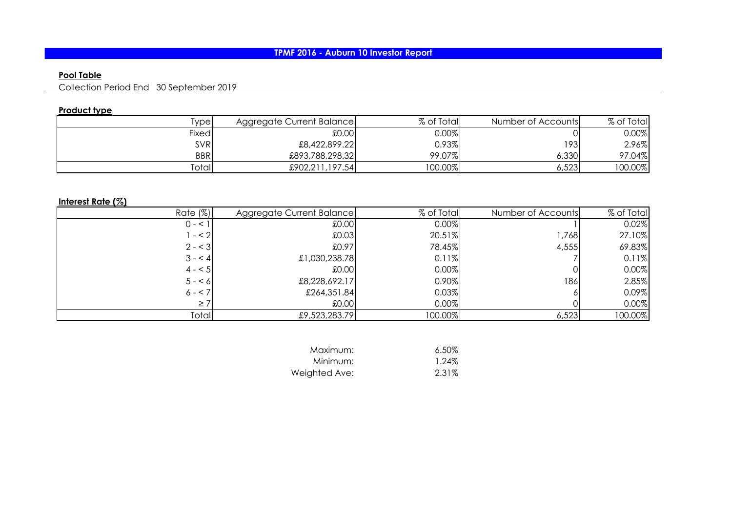# **Pool Table**

Collection Period End 30 September 2019

# **Product type**

| iypel        | Aggregate Current Balance | % of Total | Number of Accounts | % of Total |
|--------------|---------------------------|------------|--------------------|------------|
| <b>Fixed</b> | 0.001                     | 0.00%      |                    | $0.00\%$   |
| <b>SVR</b>   | £8,422,899.22             | $0.93\%$   | 1931               | 2.96%      |
| <b>BBR</b>   | £893,788,298.32           | 99.07%     | 6,330              | 97.04%     |
| Totall       | £902,211,197.54           | 100.00%    | 6,523              | 100.00%    |

## **Interest Rate (%)**

| Rate $(\%)$ | Aggregate Current Balance | % of Total | Number of Accounts | % of Total |
|-------------|---------------------------|------------|--------------------|------------|
| $0 - 1$     | 0.00                      | 0.00%      |                    | 0.02%      |
| $- < 2$     | £0.03                     | 20.51%     | 1,768              | 27.10%     |
| $2 - 3$     | £0.97                     | 78.45%     | 4,555              | 69.83%     |
| $3 - 4$     | £1,030,238.78             | 0.11%      |                    | 0.11%      |
| $4 - 5$     | 0.001                     | 0.00%      |                    | 0.00%      |
| $5 - 6$     | £8,228,692.17             | 0.90%      | 186                | 2.85%      |
| $6 - 7$     | £264,351.84               | 0.03%      |                    | 0.09%      |
| $\geq 7$    | £0.00                     | 0.00%      |                    | 0.00%      |
| Total       | £9,523,283.79             | 100.00%    | 6,523              | 100.00%    |

| Maximum:      | $6.50\%$ |
|---------------|----------|
| Minimum:      | 1.24%    |
| Weighted Ave: | 2.31%    |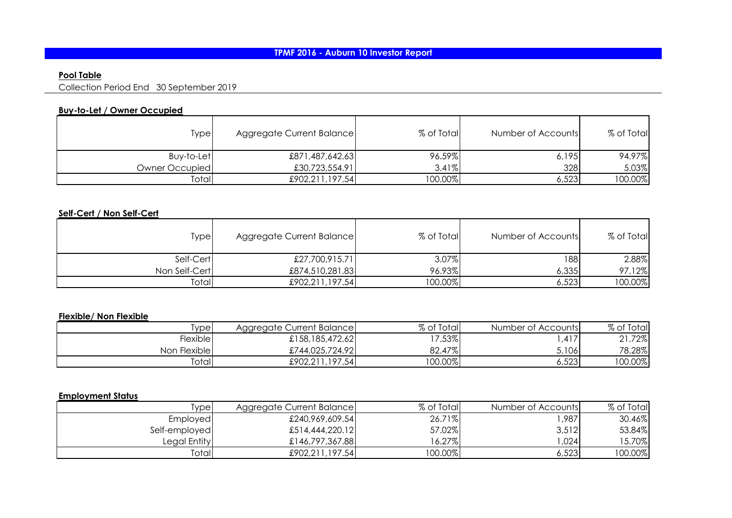# **Pool Table**

Collection Period End 30 September 2019

## **Buy-to-Let / Owner Occupied**

| Type           | Aggregate Current Balance | % of Total | Number of Accounts | % of Total |
|----------------|---------------------------|------------|--------------------|------------|
| Buy-to-Let     | £871,487,642.63           | 96.59%     | 6,195              | 94.97%     |
| Owner Occupied | £30,723,554.91            | 3.41%      | 328                | 5.03%      |
| Total          | £902,211,197.54           | 100.00%    | 6,523              | 100.00%    |

# **Self-Cert / Non Self-Cert**

| Type          | Aggregate Current Balance | % of Total | Number of Accounts | % of Total |
|---------------|---------------------------|------------|--------------------|------------|
| Self-Cert     | £27,700,915.71            | 3.07%      | 188                | 2.88%      |
| Non Self-Cert | £874,510,281.83           | 96.93%     | 6,335              | 97.12%     |
| Total         | £902,211,197.54           | 100.00%    | 6,523              | 100.00%    |

## **Flexible/ Non Flexible**

| iype l       | Aggregate Current Balance) | % of Total | Number of Accounts | % of Total          |
|--------------|----------------------------|------------|--------------------|---------------------|
| Flexible     | £158,185,472.62            | 17.53%     | .417               | 21.72%<br>$\bigcap$ |
| Non Flexible | £744,025,724.92            | 82.47%     | 5,106              | 78.28%              |
| Totall       | £902,211,197.54            | 100.00%    | 6,523              | $100.00\%$          |

### **Employment Status**

| ivpel         | Aggregate Current Balance | % of Total | Number of Accounts | % of Total |
|---------------|---------------------------|------------|--------------------|------------|
| Employed      | £240,969,609.54           | 26.71%     | 987,،              | 30.46%     |
| Self-employed | £514,444,220.12           | 57.02%     | 3,512              | 53.84%     |
| Legal Entity  | £146,797,367.88           | 6.27%      | ,024               | 5.70%      |
| Totall        | £902,211,197.54           | $100.00\%$ | 6,523              | 100.00%    |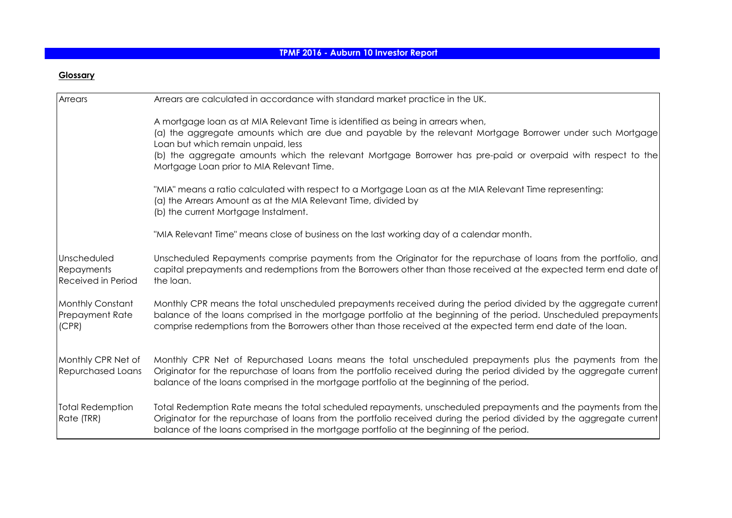## **Glossary**

| Arrears                                             | Arrears are calculated in accordance with standard market practice in the UK.                                                                                                                                                                                                                                                                                                                  |
|-----------------------------------------------------|------------------------------------------------------------------------------------------------------------------------------------------------------------------------------------------------------------------------------------------------------------------------------------------------------------------------------------------------------------------------------------------------|
|                                                     | A mortgage loan as at MIA Relevant Time is identified as being in arrears when,<br>(a) the aggregate amounts which are due and payable by the relevant Mortgage Borrower under such Mortgage<br>Loan but which remain unpaid, less<br>(b) the aggregate amounts which the relevant Mortgage Borrower has pre-paid or overpaid with respect to the<br>Mortgage Loan prior to MIA Relevant Time. |
|                                                     | "MIA" means a ratio calculated with respect to a Mortgage Loan as at the MIA Relevant Time representing:<br>(a) the Arrears Amount as at the MIA Relevant Time, divided by<br>(b) the current Mortgage Instalment.                                                                                                                                                                             |
|                                                     | "MIA Relevant Time" means close of business on the last working day of a calendar month.                                                                                                                                                                                                                                                                                                       |
| Unscheduled<br>Repayments<br>Received in Period     | Unscheduled Repayments comprise payments from the Originator for the repurchase of loans from the portfolio, and<br>capital prepayments and redemptions from the Borrowers other than those received at the expected term end date of<br>the loan.                                                                                                                                             |
| Monthly Constant<br><b>Prepayment Rate</b><br>(CPR) | Monthly CPR means the total unscheduled prepayments received during the period divided by the aggregate current<br>balance of the loans comprised in the mortgage portfolio at the beginning of the period. Unscheduled prepayments<br>comprise redemptions from the Borrowers other than those received at the expected term end date of the loan.                                            |
| Monthly CPR Net of<br><b>Repurchased Loans</b>      | Monthly CPR Net of Repurchased Loans means the total unscheduled prepayments plus the payments from the<br>Originator for the repurchase of loans from the portfolio received during the period divided by the aggregate current<br>balance of the loans comprised in the mortgage portfolio at the beginning of the period.                                                                   |
| <b>Total Redemption</b><br>Rate (TRR)               | Total Redemption Rate means the total scheduled repayments, unscheduled prepayments and the payments from the<br>Originator for the repurchase of loans from the portfolio received during the period divided by the aggregate current<br>balance of the loans comprised in the mortgage portfolio at the beginning of the period.                                                             |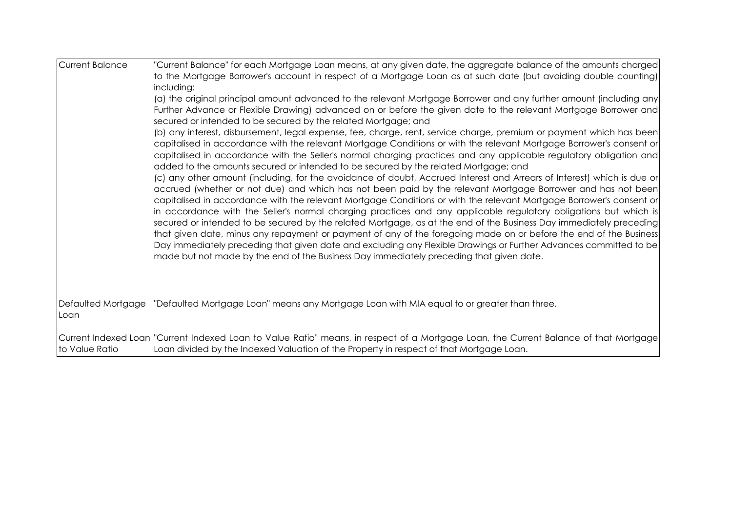| <b>Current Balance</b> | "Current Balance" for each Mortgage Loan means, at any given date, the aggregate balance of the amounts charged<br>to the Mortgage Borrower's account in respect of a Mortgage Loan as at such date (but avoiding double counting)<br>including:<br>(a) the original principal amount advanced to the relevant Mortgage Borrower and any further amount (including any<br>Further Advance or Flexible Drawing) advanced on or before the given date to the relevant Mortgage Borrower and<br>secured or intended to be secured by the related Mortgage; and<br>(b) any interest, disbursement, legal expense, fee, charge, rent, service charge, premium or payment which has been<br>capitalised in accordance with the relevant Mortgage Conditions or with the relevant Mortgage Borrower's consent or<br>capitalised in accordance with the Seller's normal charging practices and any applicable regulatory obligation and<br>added to the amounts secured or intended to be secured by the related Mortgage; and<br>(c) any other amount (including, for the avoidance of doubt, Accrued Interest and Arrears of Interest) which is due or<br>accrued (whether or not due) and which has not been paid by the relevant Mortgage Borrower and has not been<br>capitalised in accordance with the relevant Mortgage Conditions or with the relevant Mortgage Borrower's consent or<br>in accordance with the Seller's normal charging practices and any applicable regulatory obligations but which is<br>secured or intended to be secured by the related Mortgage, as at the end of the Business Day immediately preceding<br>that given date, minus any repayment or payment of any of the foregoing made on or before the end of the Business<br>Day immediately preceding that given date and excluding any Flexible Drawings or Further Advances committed to be<br>made but not made by the end of the Business Day immediately preceding that given date. |
|------------------------|-----------------------------------------------------------------------------------------------------------------------------------------------------------------------------------------------------------------------------------------------------------------------------------------------------------------------------------------------------------------------------------------------------------------------------------------------------------------------------------------------------------------------------------------------------------------------------------------------------------------------------------------------------------------------------------------------------------------------------------------------------------------------------------------------------------------------------------------------------------------------------------------------------------------------------------------------------------------------------------------------------------------------------------------------------------------------------------------------------------------------------------------------------------------------------------------------------------------------------------------------------------------------------------------------------------------------------------------------------------------------------------------------------------------------------------------------------------------------------------------------------------------------------------------------------------------------------------------------------------------------------------------------------------------------------------------------------------------------------------------------------------------------------------------------------------------------------------------------------------------------------------------------------------------------------------------------------------------------|
| Loan                   | Defaulted Mortgage "Defaulted Mortgage Loan" means any Mortgage Loan with MIA equal to or greater than three.                                                                                                                                                                                                                                                                                                                                                                                                                                                                                                                                                                                                                                                                                                                                                                                                                                                                                                                                                                                                                                                                                                                                                                                                                                                                                                                                                                                                                                                                                                                                                                                                                                                                                                                                                                                                                                                         |
| to Value Ratio         | Current Indexed Loan "Current Indexed Loan to Value Ratio" means, in respect of a Mortgage Loan, the Current Balance of that Mortgage<br>Loan divided by the Indexed Valuation of the Property in respect of that Mortgage Loan.                                                                                                                                                                                                                                                                                                                                                                                                                                                                                                                                                                                                                                                                                                                                                                                                                                                                                                                                                                                                                                                                                                                                                                                                                                                                                                                                                                                                                                                                                                                                                                                                                                                                                                                                      |